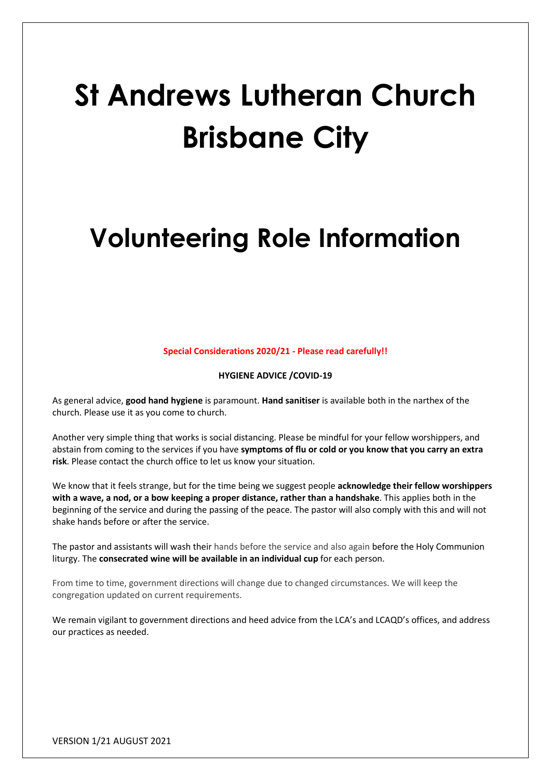# **St Andrews Lutheran Church Brisbane City**

## **Volunteering Role Information**

**Special Considerations 2020/21 - Please read carefully!!**

**HYGIENE ADVICE /COVID-19**

As general advice, **good hand hygiene** is paramount. **Hand sanitiser** is available both in the narthex of the church. Please use it as you come to church.

Another very simple thing that works is social distancing. Please be mindful for your fellow worshippers, and abstain from coming to the services if you have **symptoms of flu or cold or you know that you carry an extra risk**. Please contact the church office to let us know your situation.

We know that it feels strange, but for the time being we suggest people **acknowledge their fellow worshippers with a wave, a nod, or a bow keeping a proper distance, rather than a handshake**. This applies both in the beginning of the service and during the passing of the peace. The pastor will also comply with this and will not shake hands before or after the service.

The pastor and assistants will wash their hands before the service and also again before the Holy Communion liturgy. The **consecrated wine will be available in an individual cup** for each person.

From time to time, government directions will change due to changed circumstances. We will keep the congregation updated on current requirements.

We remain vigilant to government directions and heed advice from the LCA's and LCAQD's offices, and address our practices as needed.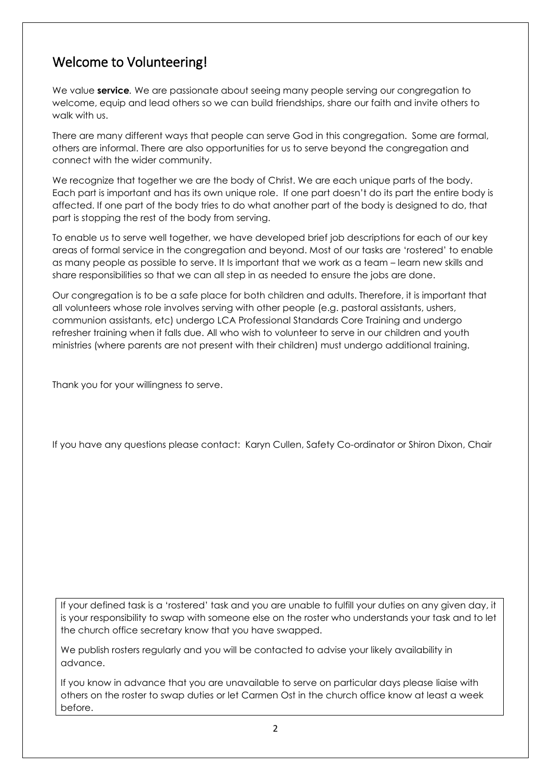### <span id="page-1-0"></span>Welcome to Volunteering!

We value **service***.* We are passionate about seeing many people serving our congregation to welcome, equip and lead others so we can build friendships, share our faith and invite others to walk with us.

There are many different ways that people can serve God in this congregation. Some are formal, others are informal. There are also opportunities for us to serve beyond the congregation and connect with the wider community.

We recognize that together we are the body of Christ. We are each unique parts of the body. Each part is important and has its own unique role. If one part doesn't do its part the entire body is affected. If one part of the body tries to do what another part of the body is designed to do, that part is stopping the rest of the body from serving.

To enable us to serve well together, we have developed brief job descriptions for each of our key areas of formal service in the congregation and beyond. Most of our tasks are 'rostered' to enable as many people as possible to serve. It Is important that we work as a team – learn new skills and share responsibilities so that we can all step in as needed to ensure the jobs are done.

Our congregation is to be a safe place for both children and adults. Therefore, it is important that all volunteers whose role involves serving with other people (e.g. pastoral assistants, ushers, communion assistants, etc) undergo LCA Professional Standards Core Training and undergo refresher training when it falls due. All who wish to volunteer to serve in our children and youth ministries (where parents are not present with their children) must undergo additional training.

Thank you for your willingness to serve.

If you have any questions please contact: Karyn Cullen, Safety Co-ordinator or Shiron Dixon, Chair

If your defined task is a 'rostered' task and you are unable to fulfill your duties on any given day, it is your responsibility to swap with someone else on the roster who understands your task and to let the church office secretary know that you have swapped.

We publish rosters regularly and you will be contacted to advise your likely availability in advance.

If you know in advance that you are unavailable to serve on particular days please liaise with others on the roster to swap duties or let Carmen Ost in the church office know at least a week before.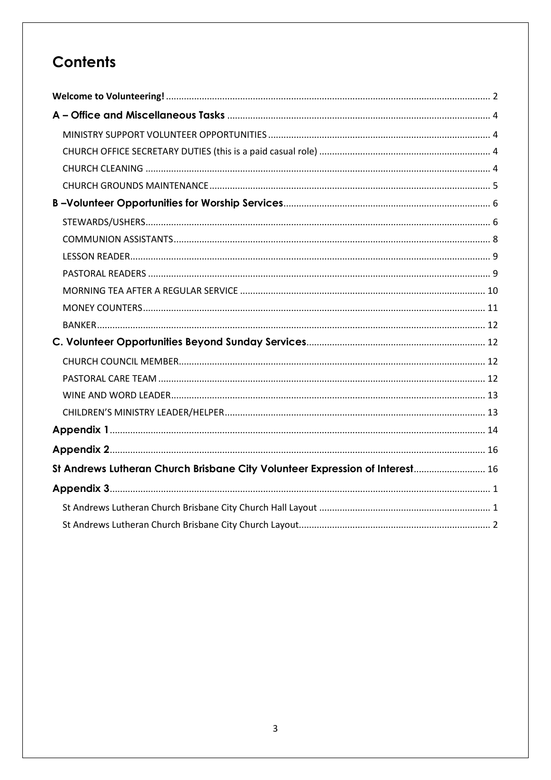### **Contents**

| St Andrews Lutheran Church Brisbane City Volunteer Expression of Interest 16 |
|------------------------------------------------------------------------------|
|                                                                              |
|                                                                              |
|                                                                              |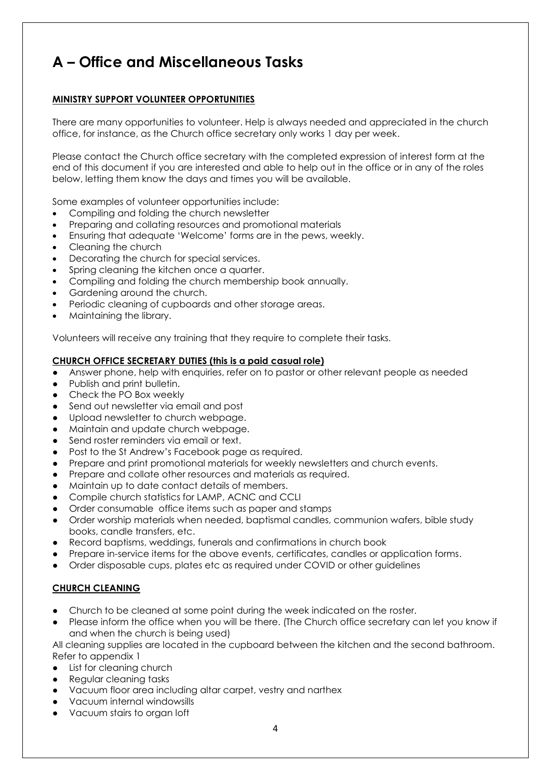### <span id="page-3-0"></span>**A – Office and Miscellaneous Tasks**

#### <span id="page-3-1"></span>**MINISTRY SUPPORT VOLUNTEER OPPORTUNITIES**

There are many opportunities to volunteer. Help is always needed and appreciated in the church office, for instance, as the Church office secretary only works 1 day per week.

Please contact the Church office secretary with the completed expression of interest form at the end of this document if you are interested and able to help out in the office or in any of the roles below, letting them know the days and times you will be available.

Some examples of volunteer opportunities include:

- Compiling and folding the church newsletter
- Preparing and collating resources and promotional materials
- Ensuring that adequate 'Welcome' forms are in the pews, weekly.
- Cleaning the church
- Decorating the church for special services.
- Spring cleaning the kitchen once a quarter.
- Compiling and folding the church membership book annually.
- Gardening around the church.
- Periodic cleaning of cupboards and other storage areas.
- Maintaining the library.

Volunteers will receive any training that they require to complete their tasks.

#### <span id="page-3-2"></span>**CHURCH OFFICE SECRETARY DUTIES (this is a paid casual role)**

- Answer phone, help with enquiries, refer on to pastor or other relevant people as needed
- Publish and print bulletin.
- Check the PO Box weekly
- Send out newsletter via email and post
- Upload newsletter to church webpage.
- Maintain and update church webpage.
- Send roster reminders via email or text.
- Post to the St Andrew's Facebook page as required.
- Prepare and print promotional materials for weekly newsletters and church events.
- Prepare and collate other resources and materials as required.
- Maintain up to date contact details of members.
- Compile church statistics for LAMP, ACNC and CCLI
- Order consumable office items such as paper and stamps
- Order worship materials when needed, baptismal candles, communion wafers, bible study books, candle transfers, etc.
- Record baptisms, weddings, funerals and confirmations in church book
- Prepare in-service items for the above events, certificates, candles or application forms.
- Order disposable cups, plates etc as required under COVID or other guidelines

#### <span id="page-3-3"></span>**CHURCH CLEANING**

- Church to be cleaned at some point during the week indicated on the roster.
- Please inform the office when you will be there. (The Church office secretary can let you know if and when the church is being used)

All cleaning supplies are located in the cupboard between the kitchen and the second bathroom. Refer to appendix 1

- List for cleaning church
- Regular cleaning tasks
- Vacuum floor area including altar carpet, vestry and narthex
- Vacuum internal windowsills
- Vacuum stairs to organ loft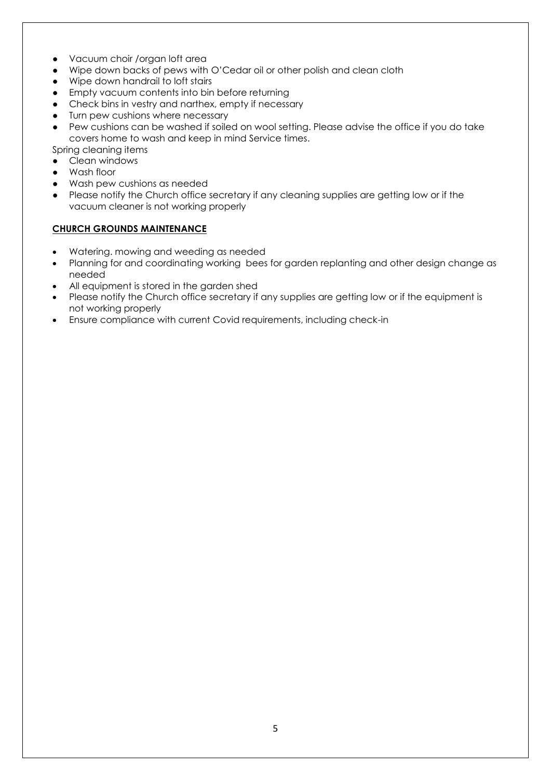- Vacuum choir /organ loft area
- Wipe down backs of pews with O'Cedar oil or other polish and clean cloth
- Wipe down handrail to loft stairs
- Empty vacuum contents into bin before returning
- Check bins in vestry and narthex, empty if necessary
- Turn pew cushions where necessary
- Pew cushions can be washed if soiled on wool setting. Please advise the office if you do take covers home to wash and keep in mind Service times.

Spring cleaning items

- Clean windows Wash floor
- Wash pew cushions as needed
- Please notify the Church office secretary if any cleaning supplies are getting low or if the vacuum cleaner is not working properly

#### <span id="page-4-0"></span>**CHURCH GROUNDS MAINTENANCE**

- Watering. mowing and weeding as needed
- Planning for and coordinating working bees for garden replanting and other design change as needed
- All equipment is stored in the garden shed
- Please notify the Church office secretary if any supplies are getting low or if the equipment is not working properly
- Ensure compliance with current Covid requirements, including check-in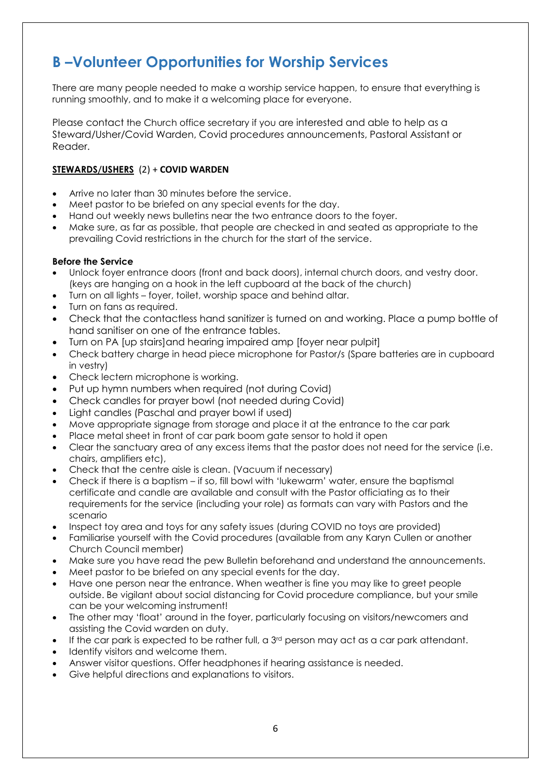### <span id="page-5-0"></span>**B –Volunteer Opportunities for Worship Services**

There are many people needed to make a worship service happen, to ensure that everything is running smoothly, and to make it a welcoming place for everyone.

Please contact the Church office secretary if you are interested and able to help as a Steward/Usher/Covid Warden, Covid procedures announcements, Pastoral Assistant or Reader.

#### <span id="page-5-1"></span>**STEWARDS/USHERS** (2) + **COVID WARDEN**

- Arrive no later than 30 minutes before the service.
- Meet pastor to be briefed on any special events for the day.
- Hand out weekly news bulletins near the two entrance doors to the foyer.
- Make sure, as far as possible, that people are checked in and seated as appropriate to the prevailing Covid restrictions in the church for the start of the service.

#### **Before the Service**

- Unlock foyer entrance doors (front and back doors), internal church doors, and vestry door. (keys are hanging on a hook in the left cupboard at the back of the church)
- Turn on all lights foyer, toilet, worship space and behind altar.
- Turn on fans as required.
- Check that the contactless hand sanitizer is turned on and working. Place a pump bottle of hand sanitiser on one of the entrance tables.
- Turn on PA [up stairs]and hearing impaired amp [foyer near pulpit]
- Check battery charge in head piece microphone for Pastor/s (Spare batteries are in cupboard in vestry)
- Check lectern microphone is working.
- Put up hymn numbers when required (not during Covid)
- Check candles for prayer bowl (not needed during Covid)
- Light candles (Paschal and prayer bowl if used)
- Move appropriate signage from storage and place it at the entrance to the car park
- Place metal sheet in front of car park boom gate sensor to hold it open
- Clear the sanctuary area of any excess items that the pastor does not need for the service (i.e. chairs, amplifiers etc),
- Check that the centre aisle is clean. (Vacuum if necessary)
- Check if there is a baptism if so, fill bowl with 'lukewarm' water, ensure the baptismal certificate and candle are available and consult with the Pastor officiating as to their requirements for the service (including your role) as formats can vary with Pastors and the scenario
- Inspect toy area and toys for any safety issues (during COVID no toys are provided)
- Familiarise yourself with the Covid procedures (available from any Karyn Cullen or another Church Council member)
- Make sure you have read the pew Bulletin beforehand and understand the announcements.
- Meet pastor to be briefed on any special events for the day.
- Have one person near the entrance. When weather is fine you may like to greet people outside. Be vigilant about social distancing for Covid procedure compliance, but your smile can be your welcoming instrument!
- The other may 'float' around in the foyer, particularly focusing on visitors/newcomers and assisting the Covid warden on duty.
- If the car park is expected to be rather full, a  $3<sup>rd</sup>$  person may act as a car park attendant.
- Identify visitors and welcome them.
- Answer visitor questions. Offer headphones if hearing assistance is needed.
- Give helpful directions and explanations to visitors.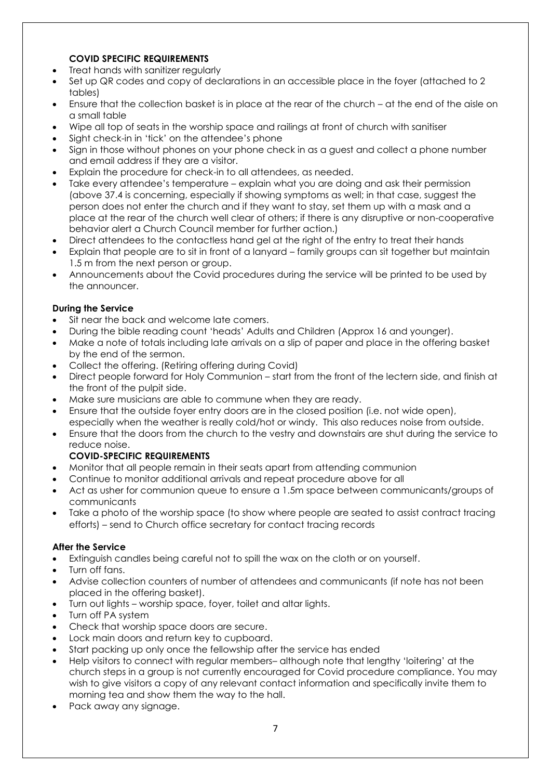#### **COVID SPECIFIC REQUIREMENTS**

- Treat hands with sanitizer regularly
- Set up QR codes and copy of declarations in an accessible place in the foyer (attached to 2 tables)
- Ensure that the collection basket is in place at the rear of the church at the end of the aisle on a small table
- Wipe all top of seats in the worship space and railings at front of church with sanitiser
- Sight check-in in 'tick' on the attendee's phone
- Sign in those without phones on your phone check in as a guest and collect a phone number and email address if they are a visitor.
- Explain the procedure for check-in to all attendees, as needed.
- Take every attendee's temperature explain what you are doing and ask their permission (above 37.4 is concerning, especially if showing symptoms as well; in that case, suggest the person does not enter the church and if they want to stay, set them up with a mask and a place at the rear of the church well clear of others; if there is any disruptive or non-cooperative behavior alert a Church Council member for further action.)
- Direct attendees to the contactless hand gel at the right of the entry to treat their hands
- Explain that people are to sit in front of a lanyard family groups can sit together but maintain 1.5 m from the next person or group.
- Announcements about the Covid procedures during the service will be printed to be used by the announcer.

#### **During the Service**

- Sit near the back and welcome late comers.
- During the bible reading count 'heads' Adults and Children (Approx 16 and younger).
- Make a note of totals including late arrivals on a slip of paper and place in the offering basket by the end of the sermon.
- Collect the offering. (Retiring offering during Covid)
- Direct people forward for Holy Communion start from the front of the lectern side, and finish at the front of the pulpit side.
- Make sure musicians are able to commune when they are ready.
- Ensure that the outside foyer entry doors are in the closed position (i.e. not wide open), especially when the weather is really cold/hot or windy. This also reduces noise from outside.
- Ensure that the doors from the church to the vestry and downstairs are shut during the service to reduce noise.

#### **COVID-SPECIFIC REQUIREMENTS**

- Monitor that all people remain in their seats apart from attending communion
- Continue to monitor additional arrivals and repeat procedure above for all
- Act as usher for communion queue to ensure a 1.5m space between communicants/groups of communicants
- Take a photo of the worship space (to show where people are seated to assist contract tracing efforts) – send to Church office secretary for contact tracing records

#### **After the Service**

- Extinguish candles being careful not to spill the wax on the cloth or on yourself.
- Turn off fans.
- Advise collection counters of number of attendees and communicants (if note has not been placed in the offering basket).
- Turn out lights worship space, foyer, toilet and altar lights.
- Turn off PA system
- Check that worship space doors are secure.
- Lock main doors and return key to cupboard.
- Start packing up only once the fellowship after the service has ended
- Help visitors to connect with regular members– although note that lengthy 'loitering' at the church steps in a group is not currently encouraged for Covid procedure compliance. You may wish to give visitors a copy of any relevant contact information and specifically invite them to morning tea and show them the way to the hall.
- Pack away any signage.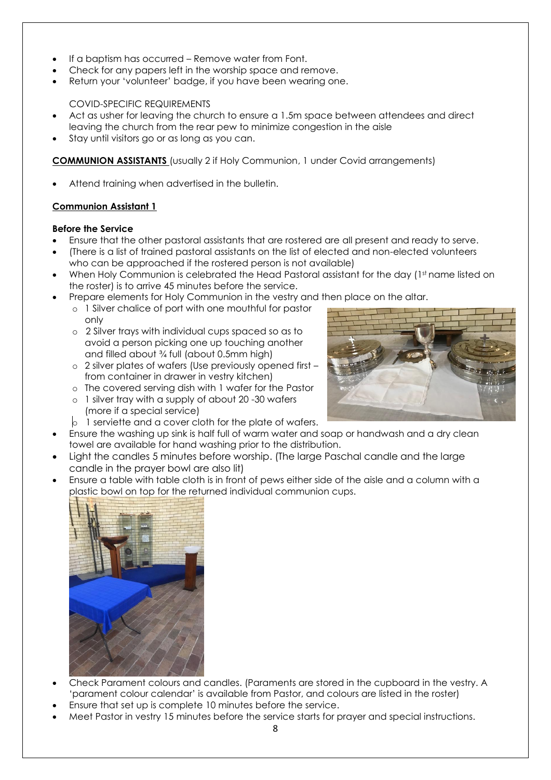- If a baptism has occurred Remove water from Font.
- Check for any papers left in the worship space and remove.
- Return your 'volunteer' badge, if you have been wearing one.

#### COVID-SPECIFIC REQUIREMENTS

- Act as usher for leaving the church to ensure a 1.5m space between attendees and direct leaving the church from the rear pew to minimize congestion in the aisle
- Stay until visitors go or as long as you can.

<span id="page-7-0"></span>**COMMUNION ASSISTANTS** (usually 2 if Holy Communion, 1 under Covid arrangements)

Attend training when advertised in the bulletin.

#### **Communion Assistant 1**

#### **Before the Service**

- Ensure that the other pastoral assistants that are rostered are all present and ready to serve.
- (There is a list of trained pastoral assistants on the list of elected and non-elected volunteers who can be approached if the rostered person is not available)
- When Holy Communion is celebrated the Head Pastoral assistant for the day (1st name listed on the roster) is to arrive 45 minutes before the service.
- Prepare elements for Holy Communion in the vestry and then place on the altar.
	- o 1 Silver chalice of port with one mouthful for pastor only
	- o 2 Silver trays with individual cups spaced so as to avoid a person picking one up touching another and filled about ¾ full (about 0.5mm high)
	- o 2 silver plates of wafers (Use previously opened first from container in drawer in vestry kitchen)
	- o The covered serving dish with 1 wafer for the Pastor o 1 silver tray with a supply of about 20 -30 wafers
	- (more if a special service)
	- $\circ$  1 serviette and a cover cloth for the plate of wafers.
- Ensure the washing up sink is half full of warm water and soap or handwash and a dry clean towel are available for hand washing prior to the distribution.
- Light the candles 5 minutes before worship. (The large Paschal candle and the large candle in the prayer bowl are also lit)
- Ensure a table with table cloth is in front of pews either side of the aisle and a column with a plastic bowl on top for the returned individual communion cups.



- Check Parament colours and candles. (Paraments are stored in the cupboard in the vestry. A 'parament colour calendar' is available from Pastor, and colours are listed in the roster)
- Ensure that set up is complete 10 minutes before the service.
- Meet Pastor in vestry 15 minutes before the service starts for prayer and special instructions.

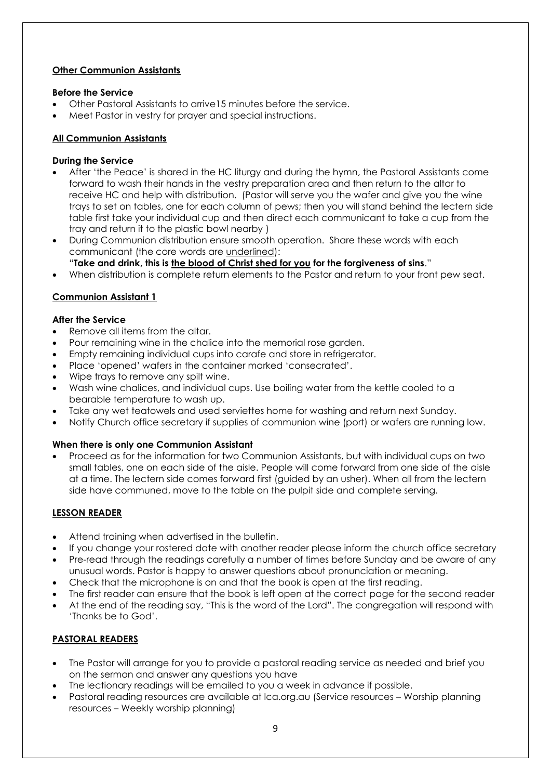#### **Other Communion Assistants**

#### **Before the Service**

- Other Pastoral Assistants to arrive15 minutes before the service.
- Meet Pastor in vestry for prayer and special instructions.

#### **All Communion Assistants**

#### **During the Service**

- After 'the Peace' is shared in the HC liturgy and during the hymn, the Pastoral Assistants come forward to wash their hands in the vestry preparation area and then return to the altar to receive HC and help with distribution. (Pastor will serve you the wafer and give you the wine trays to set on tables, one for each column of pews; then you will stand behind the lectern side table first take your individual cup and then direct each communicant to take a cup from the tray and return it to the plastic bowl nearby )
- During Communion distribution ensure smooth operation. Share these words with each communicant (the core words are underlined):
- "**Take and drink, this is the blood of Christ shed for you for the forgiveness of sins**."
- When distribution is complete return elements to the Pastor and return to your front pew seat.

#### **Communion Assistant 1**

#### **After the Service**

- Remove all items from the altar.
- Pour remaining wine in the chalice into the memorial rose garden.
- Empty remaining individual cups into carafe and store in refrigerator.
- Place 'opened' wafers in the container marked 'consecrated'.
- Wipe trays to remove any spilt wine.
- Wash wine chalices, and individual cups. Use boiling water from the kettle cooled to a bearable temperature to wash up.
- Take any wet teatowels and used serviettes home for washing and return next Sunday.
- Notify Church office secretary if supplies of communion wine (port) or wafers are running low.

#### **When there is only one Communion Assistant**

 Proceed as for the information for two Communion Assistants, but with individual cups on two small tables, one on each side of the aisle. People will come forward from one side of the aisle at a time. The lectern side comes forward first (guided by an usher). When all from the lectern side have communed, move to the table on the pulpit side and complete serving.

#### <span id="page-8-0"></span>**LESSON READER**

- Attend training when advertised in the bulletin.
- If you change your rostered date with another reader please inform the church office secretary
- Pre-read through the readings carefully a number of times before Sunday and be aware of any unusual words. Pastor is happy to answer questions about pronunciation or meaning.
- Check that the microphone is on and that the book is open at the first reading.
- The first reader can ensure that the book is left open at the correct page for the second reader
- At the end of the reading say, "This is the word of the Lord". The congregation will respond with 'Thanks be to God'.

#### <span id="page-8-1"></span>**PASTORAL READERS**

- The Pastor will arrange for you to provide a pastoral reading service as needed and brief you on the sermon and answer any questions you have
- The lectionary readings will be emailed to you a week in advance if possible.
- Pastoral reading resources are available at lca.org.au (Service resources Worship planning resources – Weekly worship planning)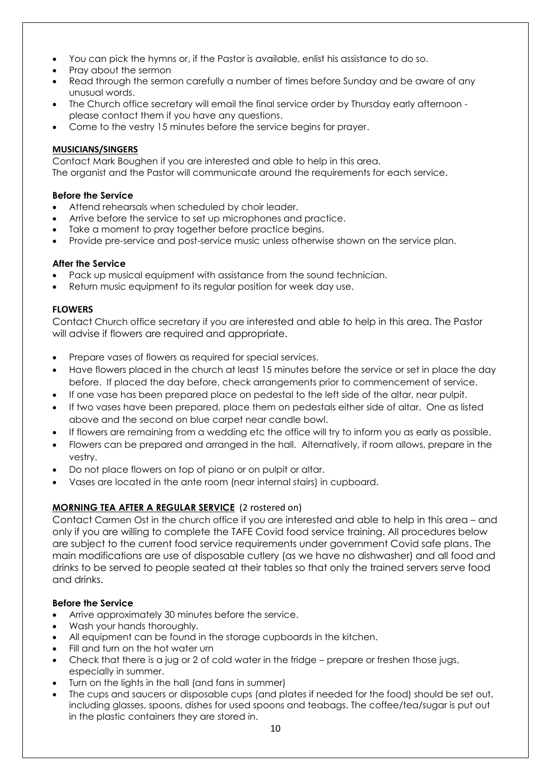- You can pick the hymns or, if the Pastor is available, enlist his assistance to do so.
- Pray about the sermon
- Read through the sermon carefully a number of times before Sunday and be aware of any unusual words.
- The Church office secretary will email the final service order by Thursday early afternoon please contact them if you have any questions.
- Come to the vestry 15 minutes before the service begins for prayer.

#### **MUSICIANS/SINGERS**

Contact Mark Boughen if you are interested and able to help in this area*.* The organist and the Pastor will communicate around the requirements for each service.

#### **Before the Service**

- Attend rehearsals when scheduled by choir leader.
- Arrive before the service to set up microphones and practice.
- Take a moment to pray together before practice begins.
- Provide pre-service and post-service music unless otherwise shown on the service plan.

#### **After the Service**

- Pack up musical equipment with assistance from the sound technician.
- Return music equipment to its regular position for week day use.

#### **FLOWERS**

Contact Church office secretary if you are interested and able to help in this area. The Pastor will advise if flowers are required and appropriate.

- Prepare vases of flowers as required for special services.
- Have flowers placed in the church at least 15 minutes before the service or set in place the day before. If placed the day before, check arrangements prior to commencement of service.
- If one vase has been prepared place on pedestal to the left side of the altar, near pulpit.
- If two vases have been prepared, place them on pedestals either side of altar. One as listed above and the second on blue carpet near candle bowl.
- If flowers are remaining from a wedding etc the office will try to inform you as early as possible.
- Flowers can be prepared and arranged in the hall. Alternatively, if room allows, prepare in the vestry.
- Do not place flowers on top of piano or on pulpit or altar.
- Vases are located in the ante room (near internal stairs) in cupboard.

#### <span id="page-9-0"></span>**MORNING TEA AFTER A REGULAR SERVICE** (2 rostered on)

Contact Carmen Ost in the church office if you are interested and able to help in this area – and only if you are willing to complete the TAFE Covid food service training. All procedures below are subject to the current food service requirements under government Covid safe plans. The main modifications are use of disposable cutlery (as we have no dishwasher) and all food and drinks to be served to people seated at their tables so that only the trained servers serve food and drinks.

#### **Before the Service**

- Arrive approximately 30 minutes before the service.
- Wash your hands thoroughly.
- All equipment can be found in the storage cupboards in the kitchen.
- Fill and turn on the hot water urn
- Check that there is a jug or 2 of cold water in the fridge prepare or freshen those jugs, especially in summer.
- Turn on the lights in the hall (and fans in summer)
- The cups and saucers or disposable cups (and plates if needed for the food) should be set out, including glasses, spoons, dishes for used spoons and teabags. The coffee/tea/sugar is put out in the plastic containers they are stored in.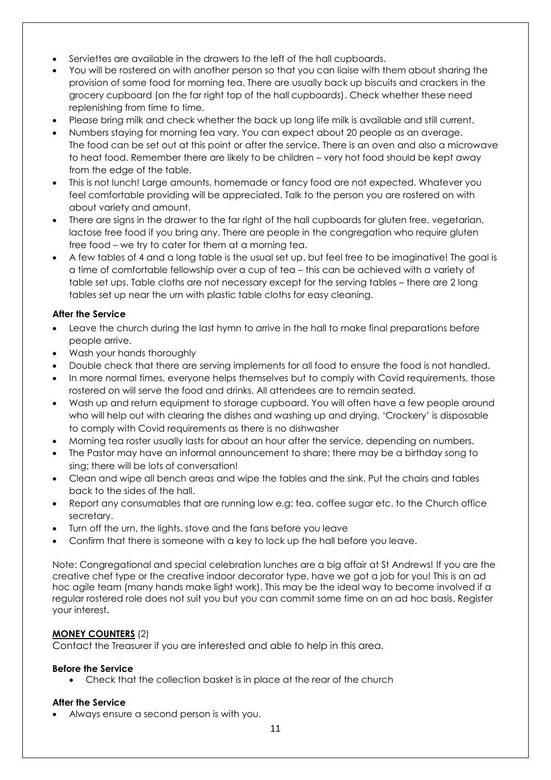- Serviettes are available in the drawers to the left of the hall cupboards.
- You will be rostered on with another person so that you can liaise with them about sharing the provision of some food for morning tea. There are usually back up biscuits and crackers in the grocery cupboard (on the far right top of the hall cupboards). Check whether these need replenishing from time to time.
- Please bring milk and check whether the back up long life milk is available and still current.
- Numbers staying for morning tea vary. You can expect about 20 people as an average. The food can be set out at this point or after the service. There is an oven and also a microwave to heat food. Remember there are likely to be children – very hot food should be kept away from the edge of the table.
- This is not lunch! Large amounts, homemade or fancy food are not expected. Whatever you feel comfortable providing will be appreciated. Talk to the person you are rostered on with about variety and amount.
- There are signs in the drawer to the far right of the hall cupboards for gluten free, vegetarian, lactose free food if you bring any. There are people in the congregation who require gluten free food – we try to cater for them at a morning tea.
- A few tables of 4 and a long table is the usual set up, but feel free to be imaginative! The goal is a time of comfortable fellowship over a cup of tea – this can be achieved with a variety of table set ups. Table cloths are not necessary except for the serving tables – there are 2 long tables set up near the urn with plastic table cloths for easy cleaning.

#### **After the Service**

- Leave the church during the last hymn to arrive in the hall to make final preparations before people arrive.
- Wash your hands thoroughly
- Double check that there are serving implements for all food to ensure the food is not handled.
- In more normal times, everyone helps themselves but to comply with Covid requirements, those rostered on will serve the food and drinks. All attendees are to remain seated.
- Wash up and return equipment to storage cupboard. You will often have a few people around who will help out with clearing the dishes and washing up and drying. 'Crockery' is disposable to comply with Covid requirements as there is no dishwasher
- Morning tea roster usually lasts for about an hour after the service, depending on numbers.
- The Pastor may have an informal announcement to share; there may be a birthday song to sing; there will be lots of conversation!
- Clean and wipe all bench areas and wipe the tables and the sink. Put the chairs and tables back to the sides of the hall.
- Report any consumables that are running low e.g: tea, coffee sugar etc. to the Church office secretary.
- Turn off the urn, the lights, stove and the fans before you leave
- Confirm that there is someone with a key to lock up the hall before you leave.

Note: Congregational and special celebration lunches are a big affair at St Andrews! If you are the creative chef type or the creative indoor decorator type, have we got a job for you! This is an ad hoc agile team (many hands make light work). This may be the ideal way to become involved if a regular rostered role does not suit you but you can commit some time on an ad hoc basis. Register your interest.

#### <span id="page-10-0"></span>**MONEY COUNTERS** (2)

Contact the Treasurer if you are interested and able to help in this area.

#### **Before the Service**

Check that the collection basket is in place at the rear of the church

#### **After the Service**

Always ensure a second person is with you.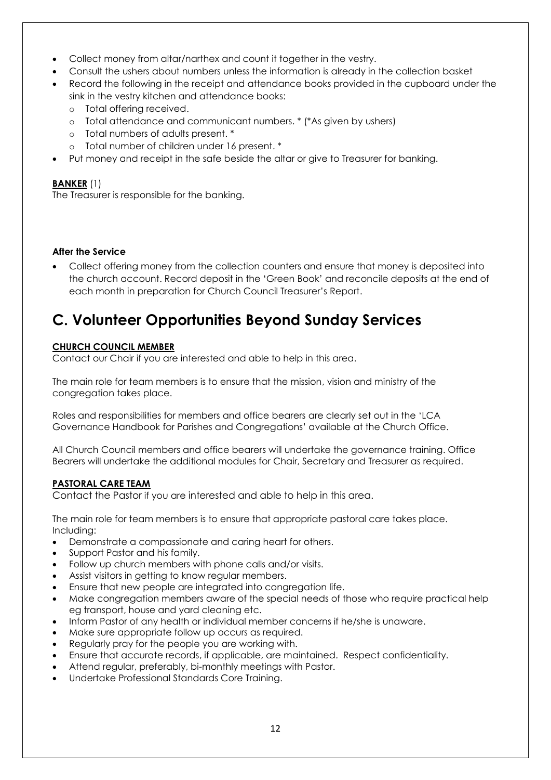- Collect money from altar/narthex and count it together in the vestry.
- Consult the ushers about numbers unless the information is already in the collection basket
- Record the following in the receipt and attendance books provided in the cupboard under the sink in the vestry kitchen and attendance books:
	- o Total offering received.
	- o Total attendance and communicant numbers. \* (\*As given by ushers)
	- o Total numbers of adults present. \*
	- o Total number of children under 16 present. \*
- Put money and receipt in the safe beside the altar or give to Treasurer for banking.

#### <span id="page-11-0"></span>**BANKER** (1)

The Treasurer is responsible for the banking.

#### **After the Service**

 Collect offering money from the collection counters and ensure that money is deposited into the church account. Record deposit in the 'Green Book' and reconcile deposits at the end of each month in preparation for Church Council Treasurer's Report.

### <span id="page-11-1"></span>**C. Volunteer Opportunities Beyond Sunday Services**

#### <span id="page-11-2"></span>**CHURCH COUNCIL MEMBER**

Contact our Chair if you are interested and able to help in this area.

The main role for team members is to ensure that the mission, vision and ministry of the congregation takes place.

Roles and responsibilities for members and office bearers are clearly set out in the 'LCA Governance Handbook for Parishes and Congregations' available at the Church Office.

All Church Council members and office bearers will undertake the governance training. Office Bearers will undertake the additional modules for Chair, Secretary and Treasurer as required.

#### <span id="page-11-3"></span>**PASTORAL CARE TEAM**

Contact the Pastor if you are interested and able to help in this area.

The main role for team members is to ensure that appropriate pastoral care takes place. Including:

- Demonstrate a compassionate and caring heart for others.
- Support Pastor and his family.
- Follow up church members with phone calls and/or visits.
- Assist visitors in getting to know regular members.
- Ensure that new people are integrated into congregation life.
- Make congregation members aware of the special needs of those who require practical help eg transport, house and yard cleaning etc.
- Inform Pastor of any health or individual member concerns if he/she is unaware.
- Make sure appropriate follow up occurs as required.
- Regularly pray for the people you are working with.
- Ensure that accurate records, if applicable, are maintained. Respect confidentiality.
- Attend regular, preferably, bi-monthly meetings with Pastor.
- Undertake Professional Standards Core Training.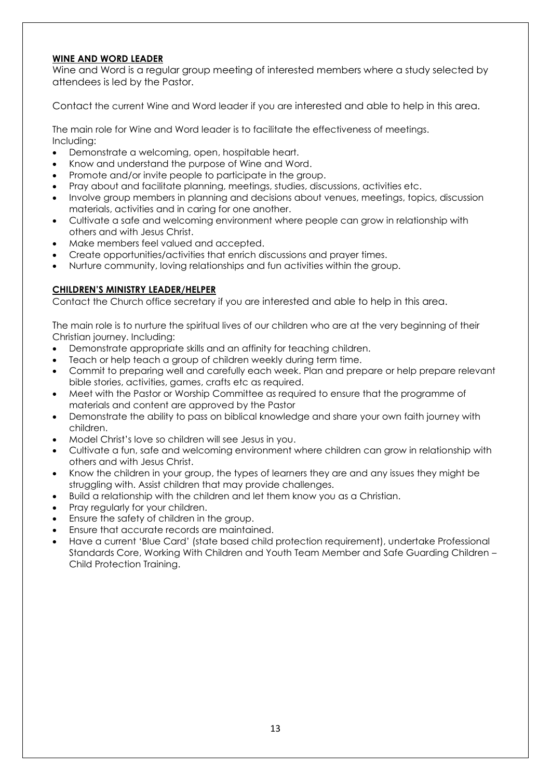#### <span id="page-12-0"></span>**WINE AND WORD LEADER**

Wine and Word is a regular group meeting of interested members where a study selected by attendees is led by the Pastor.

Contact the current Wine and Word leader if you are interested and able to help in this area.

The main role for Wine and Word leader is to facilitate the effectiveness of meetings. Including:

- Demonstrate a welcoming, open, hospitable heart.
- Know and understand the purpose of Wine and Word.
- Promote and/or invite people to participate in the group.
- Pray about and facilitate planning, meetings, studies, discussions, activities etc.
- Involve group members in planning and decisions about venues, meetings, topics, discussion materials, activities and in caring for one another.
- Cultivate a safe and welcoming environment where people can grow in relationship with others and with Jesus Christ.
- Make members feel valued and accepted.
- Create opportunities/activities that enrich discussions and prayer times.
- Nurture community, loving relationships and fun activities within the group.

#### <span id="page-12-1"></span>**CHILDREN'S MINISTRY LEADER/HELPER**

Contact the Church office secretary if you are interested and able to help in this area.

The main role is to nurture the spiritual lives of our children who are at the very beginning of their Christian journey. Including:

- Demonstrate appropriate skills and an affinity for teaching children.
- Teach or help teach a group of children weekly during term time.
- Commit to preparing well and carefully each week. Plan and prepare or help prepare relevant bible stories, activities, games, crafts etc as required.
- Meet with the Pastor or Worship Committee as required to ensure that the programme of materials and content are approved by the Pastor
- Demonstrate the ability to pass on biblical knowledge and share your own faith journey with children.
- Model Christ's love so children will see Jesus in you.
- Cultivate a fun, safe and welcoming environment where children can grow in relationship with others and with Jesus Christ.
- Know the children in your group, the types of learners they are and any issues they might be struggling with. Assist children that may provide challenges.
- Build a relationship with the children and let them know you as a Christian.
- Pray regularly for your children.
- Ensure the safety of children in the group.
- Ensure that accurate records are maintained.
- Have a current 'Blue Card' (state based child protection requirement), undertake Professional Standards Core, Working With Children and Youth Team Member and Safe Guarding Children – Child Protection Training.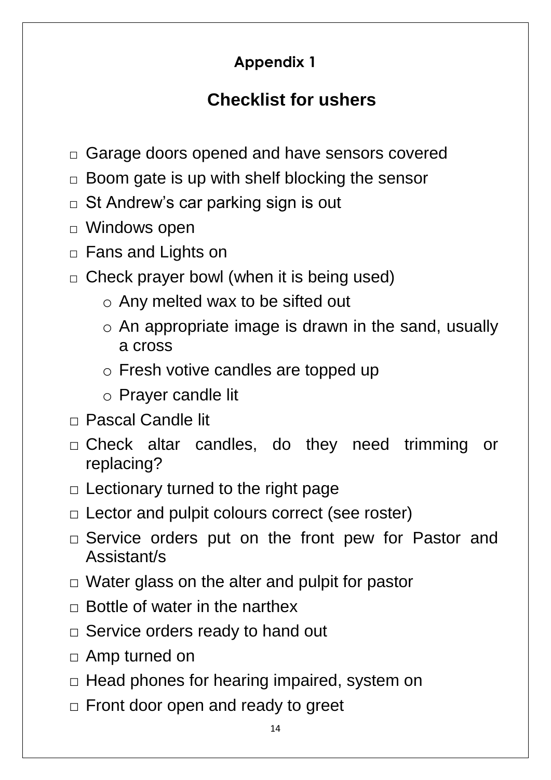### **Appendix 1**

### **Checklist for ushers**

- <span id="page-13-0"></span>□ Garage doors opened and have sensors covered
- $\Box$  Boom gate is up with shelf blocking the sensor
- $\Box$  St Andrew's car parking sign is out
- □ Windows open
- □ Fans and Lights on
- $\Box$  Check prayer bowl (when it is being used)
	- o Any melted wax to be sifted out
	- $\circ$  An appropriate image is drawn in the sand, usually a cross
	- o Fresh votive candles are topped up
	- o Prayer candle lit
- □ Pascal Candle lit
- □ Check altar candles, do they need trimming or replacing?
- $\Box$  Lectionary turned to the right page
- $\Box$  Lector and pulpit colours correct (see roster)
- □ Service orders put on the front pew for Pastor and Assistant/s
- $\Box$  Water glass on the alter and pulpit for pastor
- $\Box$  Bottle of water in the narthex
- $\Box$  Service orders ready to hand out
- □ Amp turned on
- □ Head phones for hearing impaired, system on
- $\Box$  Front door open and ready to greet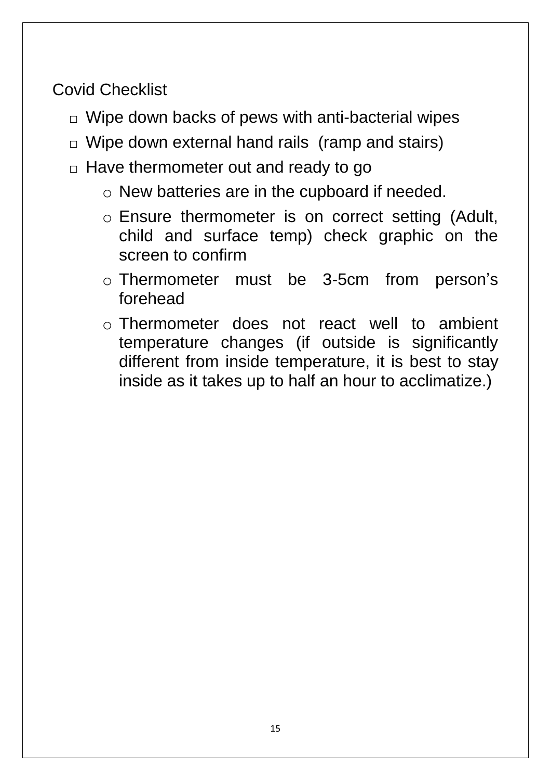Covid Checklist

- $\Box$  Wipe down backs of pews with anti-bacterial wipes
- $\Box$  Wipe down external hand rails (ramp and stairs)
- $\Box$  Have thermometer out and ready to go
	- o New batteries are in the cupboard if needed.
	- o Ensure thermometer is on correct setting (Adult, child and surface temp) check graphic on the screen to confirm
	- o Thermometer must be 3-5cm from person's forehead
	- o Thermometer does not react well to ambient temperature changes (if outside is significantly different from inside temperature, it is best to stay inside as it takes up to half an hour to acclimatize.)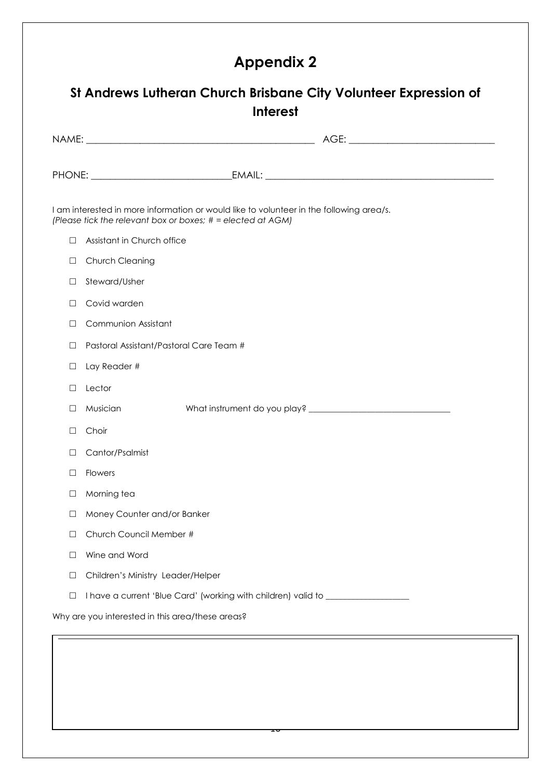### **Appendix 2**

### <span id="page-15-1"></span><span id="page-15-0"></span>**St Andrews Lutheran Church Brisbane City Volunteer Expression of Interest**

| I am interested in more information or would like to volunteer in the following area/s.<br>(Please tick the relevant box or boxes; $# =$ elected at AGM) |                                                                                  |  |
|----------------------------------------------------------------------------------------------------------------------------------------------------------|----------------------------------------------------------------------------------|--|
| $\Box$                                                                                                                                                   | Assistant in Church office                                                       |  |
| $\Box$                                                                                                                                                   | Church Cleaning                                                                  |  |
| □                                                                                                                                                        | Steward/Usher                                                                    |  |
| □                                                                                                                                                        | Covid warden                                                                     |  |
| □                                                                                                                                                        | Communion Assistant                                                              |  |
| □                                                                                                                                                        | Pastoral Assistant/Pastoral Care Team #                                          |  |
| □                                                                                                                                                        | Lay Reader #                                                                     |  |
| □                                                                                                                                                        | Lector                                                                           |  |
| □                                                                                                                                                        | Musician                                                                         |  |
| □                                                                                                                                                        | Choir                                                                            |  |
| □                                                                                                                                                        | Cantor/Psalmist                                                                  |  |
| □                                                                                                                                                        | <b>Flowers</b>                                                                   |  |
| ⊔                                                                                                                                                        | Morning tea                                                                      |  |
| □                                                                                                                                                        | Money Counter and/or Banker                                                      |  |
| $\Box$                                                                                                                                                   | Church Council Member #                                                          |  |
| ⊔                                                                                                                                                        | Wine and Word                                                                    |  |
| □                                                                                                                                                        | Children's Ministry Leader/Helper                                                |  |
| □                                                                                                                                                        | I have a current 'Blue Card' (working with children) valid to __________________ |  |
| Why are you interested in this area/these areas?                                                                                                         |                                                                                  |  |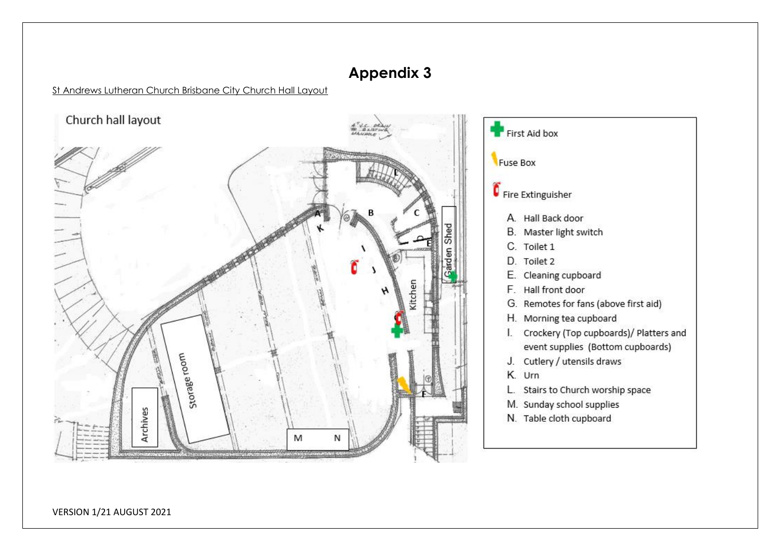### **Appendix 3**

St Andrews Lutheran Church Brisbane City Church Hall Layout

<span id="page-16-1"></span><span id="page-16-0"></span>